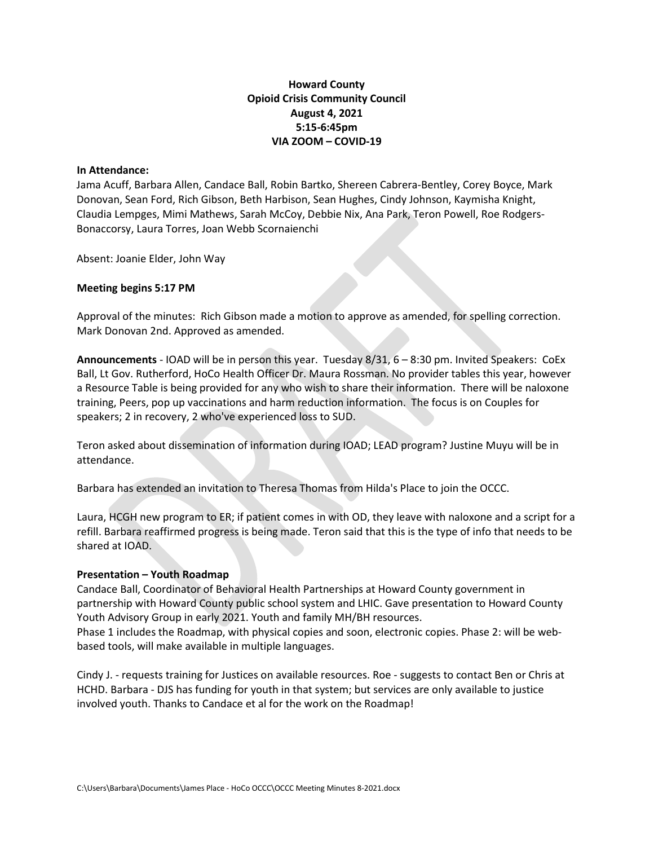## Howard County Opioid Crisis Community Council August 4, 2021 5:15-6:45pm VIA ZOOM – COVID-19

## In Attendance:

Jama Acuff, Barbara Allen, Candace Ball, Robin Bartko, Shereen Cabrera-Bentley, Corey Boyce, Mark Donovan, Sean Ford, Rich Gibson, Beth Harbison, Sean Hughes, Cindy Johnson, Kaymisha Knight, Claudia Lempges, Mimi Mathews, Sarah McCoy, Debbie Nix, Ana Park, Teron Powell, Roe Rodgers-Bonaccorsy, Laura Torres, Joan Webb Scornaienchi

Absent: Joanie Elder, John Way

## Meeting begins 5:17 PM

Approval of the minutes: Rich Gibson made a motion to approve as amended, for spelling correction. Mark Donovan 2nd. Approved as amended.

Announcements - IOAD will be in person this year. Tuesday 8/31, 6 - 8:30 pm. Invited Speakers: CoEx Ball, Lt Gov. Rutherford, HoCo Health Officer Dr. Maura Rossman. No provider tables this year, however a Resource Table is being provided for any who wish to share their information. There will be naloxone training, Peers, pop up vaccinations and harm reduction information. The focus is on Couples for speakers; 2 in recovery, 2 who've experienced loss to SUD.

Teron asked about dissemination of information during IOAD; LEAD program? Justine Muyu will be in attendance.

Barbara has extended an invitation to Theresa Thomas from Hilda's Place to join the OCCC.

Laura, HCGH new program to ER; if patient comes in with OD, they leave with naloxone and a script for a refill. Barbara reaffirmed progress is being made. Teron said that this is the type of info that needs to be shared at IOAD.

## Presentation – Youth Roadmap

Candace Ball, Coordinator of Behavioral Health Partnerships at Howard County government in partnership with Howard County public school system and LHIC. Gave presentation to Howard County Youth Advisory Group in early 2021. Youth and family MH/BH resources. Phase 1 includes the Roadmap, with physical copies and soon, electronic copies. Phase 2: will be web-

based tools, will make available in multiple languages.

Cindy J. - requests training for Justices on available resources. Roe - suggests to contact Ben or Chris at HCHD. Barbara - DJS has funding for youth in that system; but services are only available to justice involved youth. Thanks to Candace et al for the work on the Roadmap!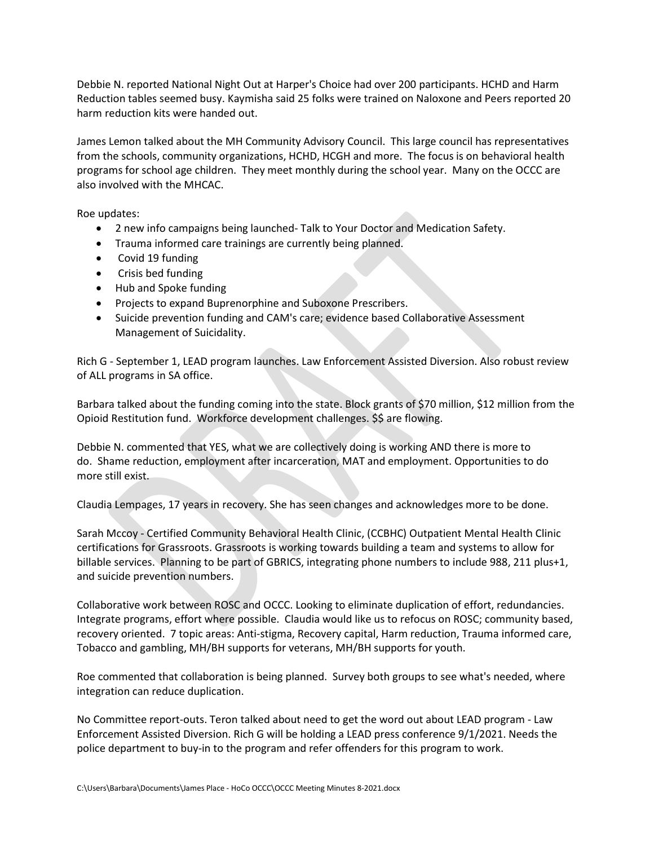Debbie N. reported National Night Out at Harper's Choice had over 200 participants. HCHD and Harm Reduction tables seemed busy. Kaymisha said 25 folks were trained on Naloxone and Peers reported 20 harm reduction kits were handed out.

James Lemon talked about the MH Community Advisory Council. This large council has representatives from the schools, community organizations, HCHD, HCGH and more. The focus is on behavioral health programs for school age children. They meet monthly during the school year. Many on the OCCC are also involved with the MHCAC.

Roe updates:

- 2 new info campaigns being launched- Talk to Your Doctor and Medication Safety.
- Trauma informed care trainings are currently being planned.
- Covid 19 funding
- Crisis bed funding
- Hub and Spoke funding
- Projects to expand Buprenorphine and Suboxone Prescribers.
- Suicide prevention funding and CAM's care; evidence based Collaborative Assessment Management of Suicidality.

Rich G - September 1, LEAD program launches. Law Enforcement Assisted Diversion. Also robust review of ALL programs in SA office.

Barbara talked about the funding coming into the state. Block grants of \$70 million, \$12 million from the Opioid Restitution fund. Workforce development challenges. \$\$ are flowing.

Debbie N. commented that YES, what we are collectively doing is working AND there is more to do. Shame reduction, employment after incarceration, MAT and employment. Opportunities to do more still exist.

Claudia Lempages, 17 years in recovery. She has seen changes and acknowledges more to be done.

Sarah Mccoy - Certified Community Behavioral Health Clinic, (CCBHC) Outpatient Mental Health Clinic certifications for Grassroots. Grassroots is working towards building a team and systems to allow for billable services. Planning to be part of GBRICS, integrating phone numbers to include 988, 211 plus+1, and suicide prevention numbers.

Collaborative work between ROSC and OCCC. Looking to eliminate duplication of effort, redundancies. Integrate programs, effort where possible. Claudia would like us to refocus on ROSC; community based, recovery oriented. 7 topic areas: Anti-stigma, Recovery capital, Harm reduction, Trauma informed care, Tobacco and gambling, MH/BH supports for veterans, MH/BH supports for youth.

Roe commented that collaboration is being planned. Survey both groups to see what's needed, where integration can reduce duplication.

No Committee report-outs. Teron talked about need to get the word out about LEAD program - Law Enforcement Assisted Diversion. Rich G will be holding a LEAD press conference 9/1/2021. Needs the police department to buy-in to the program and refer offenders for this program to work.